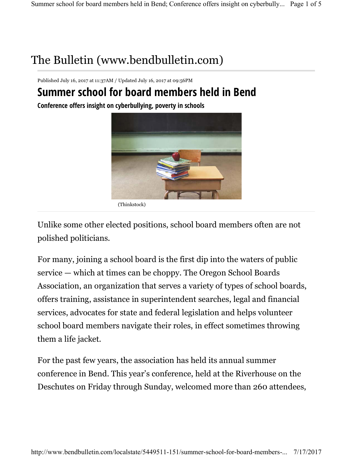## The Bulletin (www.bendbulletin.com)

Published July 16, 2017 at 11:37AM / Updated July 16, 2017 at 09:56PM

## **Summer school for board members held in Bend**

**Conference offers insight on cyberbullying, poverty in schools**



(Thinkstock)

Unlike some other elected positions, school board members often are not polished politicians.

For many, joining a school board is the first dip into the waters of public service — which at times can be choppy. The Oregon School Boards Association, an organization that serves a variety of types of school boards, offers training, assistance in superintendent searches, legal and financial services, advocates for state and federal legislation and helps volunteer school board members navigate their roles, in effect sometimes throwing them a life jacket.

For the past few years, the association has held its annual summer conference in Bend. This year's conference, held at the Riverhouse on the Deschutes on Friday through Sunday, welcomed more than 260 attendees,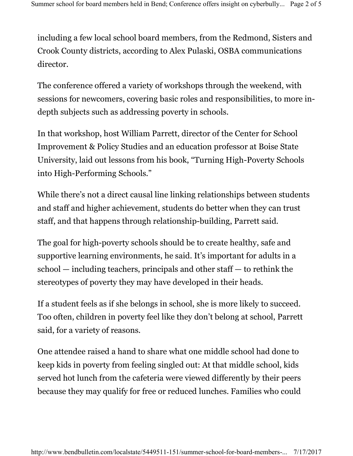including a few local school board members, from the Redmond, Sisters and Crook County districts, according to Alex Pulaski, OSBA communications director.

The conference offered a variety of workshops through the weekend, with sessions for newcomers, covering basic roles and responsibilities, to more indepth subjects such as addressing poverty in schools.

In that workshop, host William Parrett, director of the Center for School Improvement & Policy Studies and an education professor at Boise State University, laid out lessons from his book, "Turning High-Poverty Schools into High-Performing Schools."

While there's not a direct causal line linking relationships between students and staff and higher achievement, students do better when they can trust staff, and that happens through relationship-building, Parrett said.

The goal for high-poverty schools should be to create healthy, safe and supportive learning environments, he said. It's important for adults in a school — including teachers, principals and other staff — to rethink the stereotypes of poverty they may have developed in their heads.

If a student feels as if she belongs in school, she is more likely to succeed. Too often, children in poverty feel like they don't belong at school, Parrett said, for a variety of reasons.

One attendee raised a hand to share what one middle school had done to keep kids in poverty from feeling singled out: At that middle school, kids served hot lunch from the cafeteria were viewed differently by their peers because they may qualify for free or reduced lunches. Families who could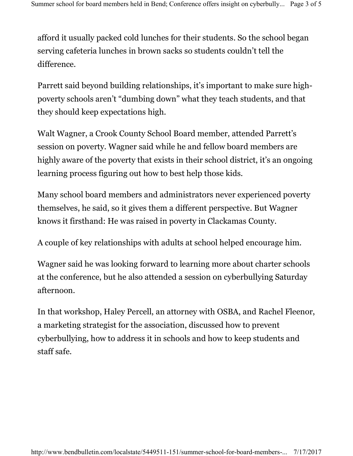afford it usually packed cold lunches for their students. So the school began serving cafeteria lunches in brown sacks so students couldn't tell the difference.

Parrett said beyond building relationships, it's important to make sure highpoverty schools aren't "dumbing down" what they teach students, and that they should keep expectations high.

Walt Wagner, a Crook County School Board member, attended Parrett's session on poverty. Wagner said while he and fellow board members are highly aware of the poverty that exists in their school district, it's an ongoing learning process figuring out how to best help those kids.

Many school board members and administrators never experienced poverty themselves, he said, so it gives them a different perspective. But Wagner knows it firsthand: He was raised in poverty in Clackamas County.

A couple of key relationships with adults at school helped encourage him.

Wagner said he was looking forward to learning more about charter schools at the conference, but he also attended a session on cyberbullying Saturday afternoon.

In that workshop, Haley Percell, an attorney with OSBA, and Rachel Fleenor, a marketing strategist for the association, discussed how to prevent cyberbullying, how to address it in schools and how to keep students and staff safe.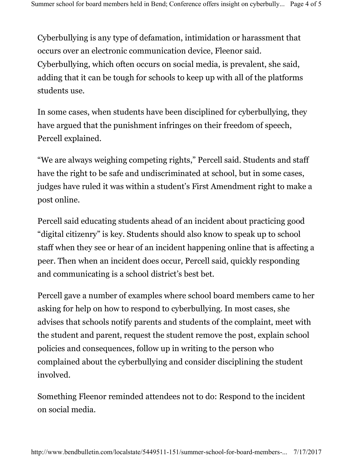Cyberbullying is any type of defamation, intimidation or harassment that occurs over an electronic communication device, Fleenor said. Cyberbullying, which often occurs on social media, is prevalent, she said, adding that it can be tough for schools to keep up with all of the platforms students use.

In some cases, when students have been disciplined for cyberbullying, they have argued that the punishment infringes on their freedom of speech, Percell explained.

"We are always weighing competing rights," Percell said. Students and staff have the right to be safe and undiscriminated at school, but in some cases, judges have ruled it was within a student's First Amendment right to make a post online.

Percell said educating students ahead of an incident about practicing good "digital citizenry" is key. Students should also know to speak up to school staff when they see or hear of an incident happening online that is affecting a peer. Then when an incident does occur, Percell said, quickly responding and communicating is a school district's best bet.

Percell gave a number of examples where school board members came to her asking for help on how to respond to cyberbullying. In most cases, she advises that schools notify parents and students of the complaint, meet with the student and parent, request the student remove the post, explain school policies and consequences, follow up in writing to the person who complained about the cyberbullying and consider disciplining the student involved.

Something Fleenor reminded attendees not to do: Respond to the incident on social media.